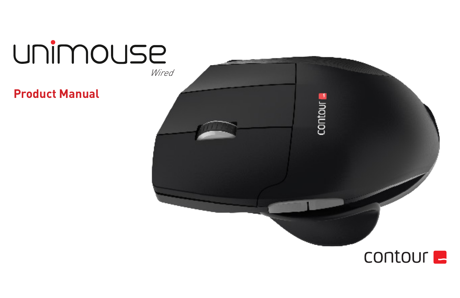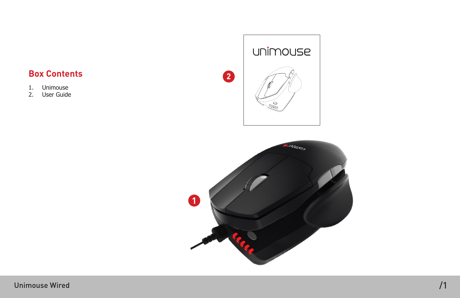# **Box Contents**

- 1. Unimouse<br>2. User Guide
- User Guide



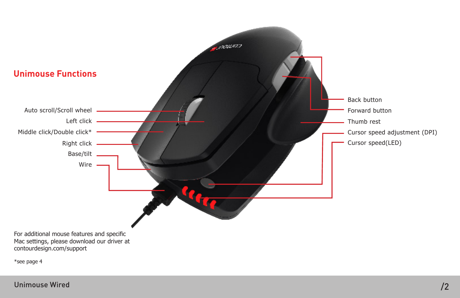

Unimouse Wired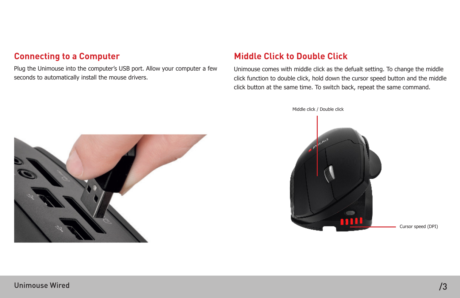### **Connecting to a Computer**

Plug the Unimouse into the computer's USB port. Allow your computer a few seconds to automatically install the mouse drivers.

# **Middle Click to Double Click**

Unimouse comes with middle click as the defualt setting. To change the middle click function to double click, hold down the cursor speed button and the middle click button at the same time. To switch back, repeat the same command.

Middle click / Double click



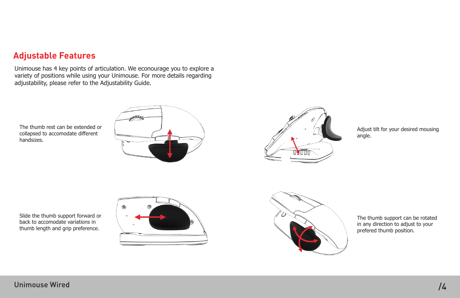# **Adjustable Features**

Unimouse has 4 key points of articulation. We econourage you to explore a variety of positions while using your Unimouse. For more details regarding adjustability, please refer to the Adjustability Guide.

The thumb rest can be extended or collapsed to accomodate different handsizes.





Adjust tilt for your desired mousing angle.







The thumb support can be rotated in any direction to adjust to your prefered thumb position.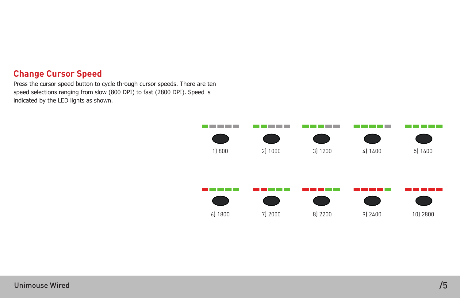### **Change Cursor Speed**

Press the cursor speed button to cycle through cursor speeds. There are ten speed selections ranging from slow (800 DPI) to fast (2800 DPI). Speed is indicated by the LED lights as shown.